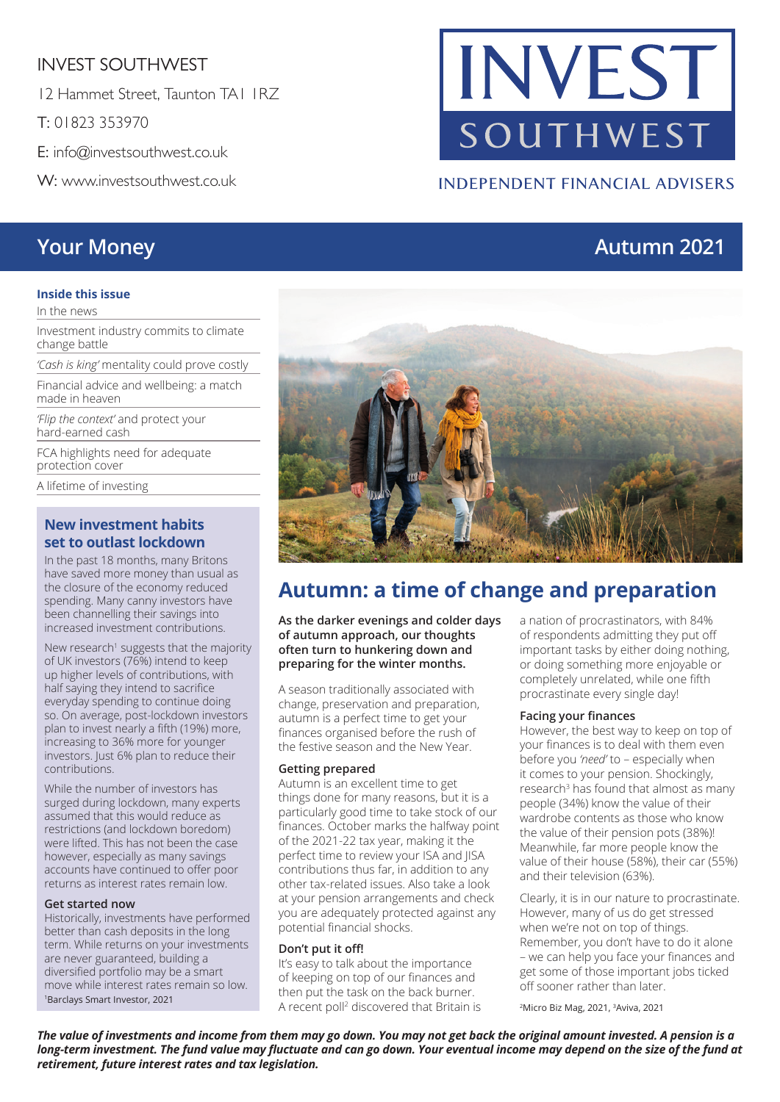## INVEST SOUTHWEST

12 Hammet Street, Taunton TA1 1RZ

T: 01823 353970

E: info@investsouthwest.co.uk

W: www.investsouthwest.co.uk

#### **Inside this issue**

In the news

Investment industry commits to climate change battle

*'Cash is king'* mentality could prove costly

Financial advice and wellbeing: a match made in heaven

*'Flip the context'* and protect your hard-earned cash

FCA highlights need for adequate protection cover

A lifetime of investing

#### **New investment habits set to outlast lockdown**

In the past 18 months, many Britons have saved more money than usual as the closure of the economy reduced spending. Many canny investors have been channelling their savings into increased investment contributions.

New research<sup>1</sup> suggests that the majority of UK investors (76%) intend to keep up higher levels of contributions, with half saying they intend to sacrifice everyday spending to continue doing so. On average, post-lockdown investors plan to invest nearly a fifth (19%) more, increasing to 36% more for younger investors. Just 6% plan to reduce their contributions.

While the number of investors has surged during lockdown, many experts assumed that this would reduce as restrictions (and lockdown boredom) were lifted. This has not been the case however, especially as many savings accounts have continued to offer poor returns as interest rates remain low.

#### **Get started now**

Historically, investments have performed better than cash deposits in the long term. While returns on your investments are never guaranteed, building a diversified portfolio may be a smart move while interest rates remain so low. 1Barclays Smart Investor, 2021

# **Autumn: a time of change and preparation**

**As the darker evenings and colder days of autumn approach, our thoughts often turn to hunkering down and preparing for the winter months.**

A season traditionally associated with change, preservation and preparation, autumn is a perfect time to get your finances organised before the rush of the festive season and the New Year.

#### **Getting prepared**

Autumn is an excellent time to get things done for many reasons, but it is a particularly good time to take stock of our finances. October marks the halfway point of the 2021-22 tax year, making it the perfect time to review your ISA and JISA contributions thus far, in addition to any other tax-related issues. Also take a look at your pension arrangements and check you are adequately protected against any potential financial shocks.

#### **Don't put it off!**

It's easy to talk about the importance of keeping on top of our finances and then put the task on the back burner. A recent poll<sup>2</sup> discovered that Britain is a nation of procrastinators, with 84% of respondents admitting they put off important tasks by either doing nothing, or doing something more enjoyable or completely unrelated, while one fifth procrastinate every single day!

#### **Facing your finances**

However, the best way to keep on top of your finances is to deal with them even before you *'need'* to – especially when it comes to your pension. Shockingly, research<sup>3</sup> has found that almost as many people (34%) know the value of their wardrobe contents as those who know the value of their pension pots (38%)! Meanwhile, far more people know the value of their house (58%), their car (55%) and their television (63%).

Clearly, it is in our nature to procrastinate. However, many of us do get stressed when we're not on top of things. Remember, you don't have to do it alone – we can help you face your finances and get some of those important jobs ticked off sooner rather than later.

2Micro Biz Mag, 2021, 3Aviva, 2021

*The value of investments and income from them may go down. You may not get back the original amount invested. A pension is a long-term investment. The fund value may fluctuate and can go down. Your eventual income may depend on the size of the fund at retirement, future interest rates and tax legislation.*





**INDEPENDENT FINANCIAL ADVISERS**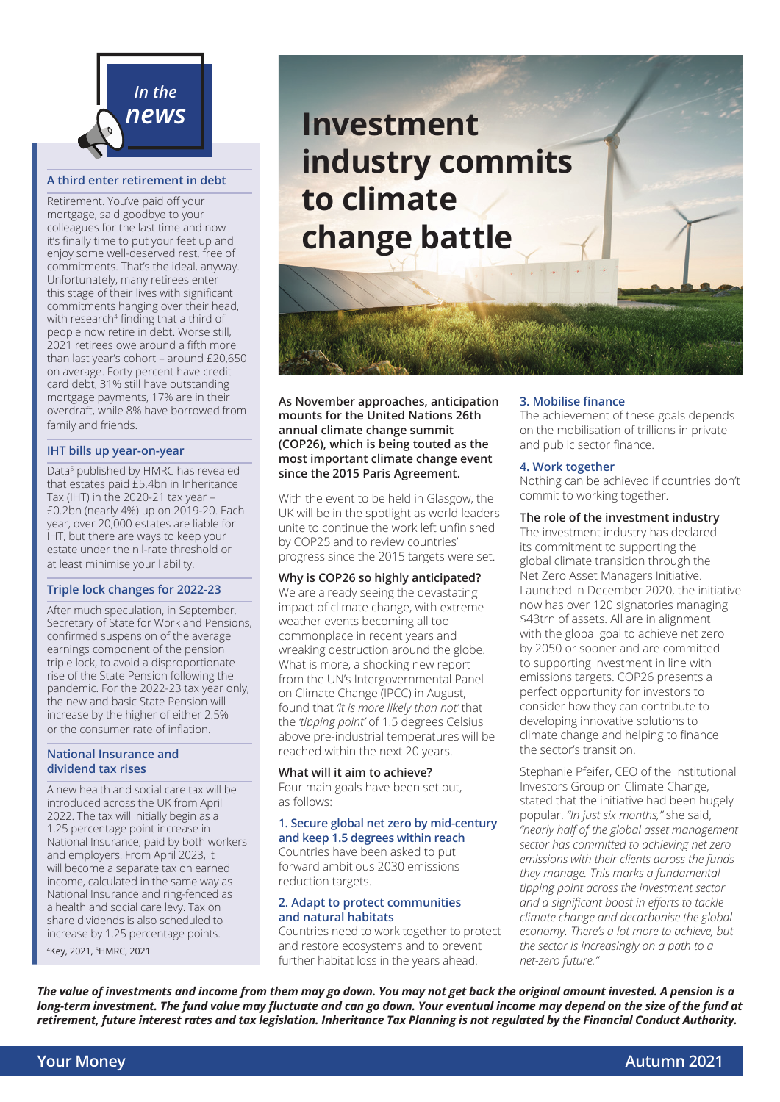

#### **A third enter retirement in debt**

Retirement. You've paid off your mortgage, said goodbye to your colleagues for the last time and now it's finally time to put your feet up and enjoy some well-deserved rest, free of commitments. That's the ideal, anyway. Unfortunately, many retirees enter this stage of their lives with significant commitments hanging over their head, with research<sup>4</sup> finding that a third of people now retire in debt. Worse still, 2021 retirees owe around a fifth more than last year's cohort – around £20,650 on average. Forty percent have credit card debt, 31% still have outstanding mortgage payments, 17% are in their overdraft, while 8% have borrowed from family and friends.

#### **IHT bills up year-on-year**

Data<sup>5</sup> published by HMRC has revealed that estates paid £5.4bn in Inheritance Tax (IHT) in the 2020-21 tax year – £0.2bn (nearly 4%) up on 2019-20. Each year, over 20,000 estates are liable for IHT, but there are ways to keep your estate under the nil-rate threshold or at least minimise your liability.

#### **Triple lock changes for 2022-23**

After much speculation, in September, Secretary of State for Work and Pensions, confirmed suspension of the average earnings component of the pension triple lock, to avoid a disproportionate rise of the State Pension following the pandemic. For the 2022-23 tax year only, the new and basic State Pension will increase by the higher of either 2.5% or the consumer rate of inflation.

#### **National Insurance and dividend tax rises**

A new health and social care tax will be introduced across the UK from April 2022. The tax will initially begin as a 1.25 percentage point increase in National Insurance, paid by both workers and employers. From April 2023, it will become a separate tax on earned income, calculated in the same way as National Insurance and ring-fenced as a health and social care levy. Tax on share dividends is also scheduled to increase by 1.25 percentage points.

4Key, 2021, 5HMRC, 2021

# *news* **Investment industry commits to climate change battle**

**As November approaches, anticipation mounts for the United Nations 26th annual climate change summit (COP26), which is being touted as the most important climate change event since the 2015 Paris Agreement.**

With the event to be held in Glasgow, the UK will be in the spotlight as world leaders unite to continue the work left unfinished by COP25 and to review countries' progress since the 2015 targets were set.

**Why is COP26 so highly anticipated?** We are already seeing the devastating impact of climate change, with extreme weather events becoming all too commonplace in recent years and wreaking destruction around the globe. What is more, a shocking new report from the UN's Intergovernmental Panel on Climate Change (IPCC) in August, found that *'it is more likely than not'* that the *'tipping point'* of 1.5 degrees Celsius above pre-industrial temperatures will be reached within the next 20 years.

#### **What will it aim to achieve?** Four main goals have been set out, as follows:

#### **1. Secure global net zero by mid-century and keep 1.5 degrees within reach**

Countries have been asked to put forward ambitious 2030 emissions reduction targets.

#### **2. Adapt to protect communities and natural habitats**

Countries need to work together to protect and restore ecosystems and to prevent further habitat loss in the years ahead.

#### **3. Mobilise finance**

The achievement of these goals depends on the mobilisation of trillions in private and public sector finance.

#### **4. Work together**

Nothing can be achieved if countries don't commit to working together.

#### **The role of the investment industry**

The investment industry has declared its commitment to supporting the global climate transition through the Net Zero Asset Managers Initiative. Launched in December 2020, the initiative now has over 120 signatories managing \$43trn of assets. All are in alignment with the global goal to achieve net zero by 2050 or sooner and are committed to supporting investment in line with emissions targets. COP26 presents a perfect opportunity for investors to consider how they can contribute to developing innovative solutions to climate change and helping to finance the sector's transition.

Stephanie Pfeifer, CEO of the Institutional Investors Group on Climate Change, stated that the initiative had been hugely popular. *"In just six months,"* she said, *"nearly half of the global asset management sector has committed to achieving net zero emissions with their clients across the funds they manage. This marks a fundamental tipping point across the investment sector and a significant boost in efforts to tackle climate change and decarbonise the global economy. There's a lot more to achieve, but the sector is increasingly on a path to a net-zero future."*

*The value of investments and income from them may go down. You may not get back the original amount invested. A pension is a long-term investment. The fund value may fluctuate and can go down. Your eventual income may depend on the size of the fund at retirement, future interest rates and tax legislation. Inheritance Tax Planning is not regulated by the Financial Conduct Authority.*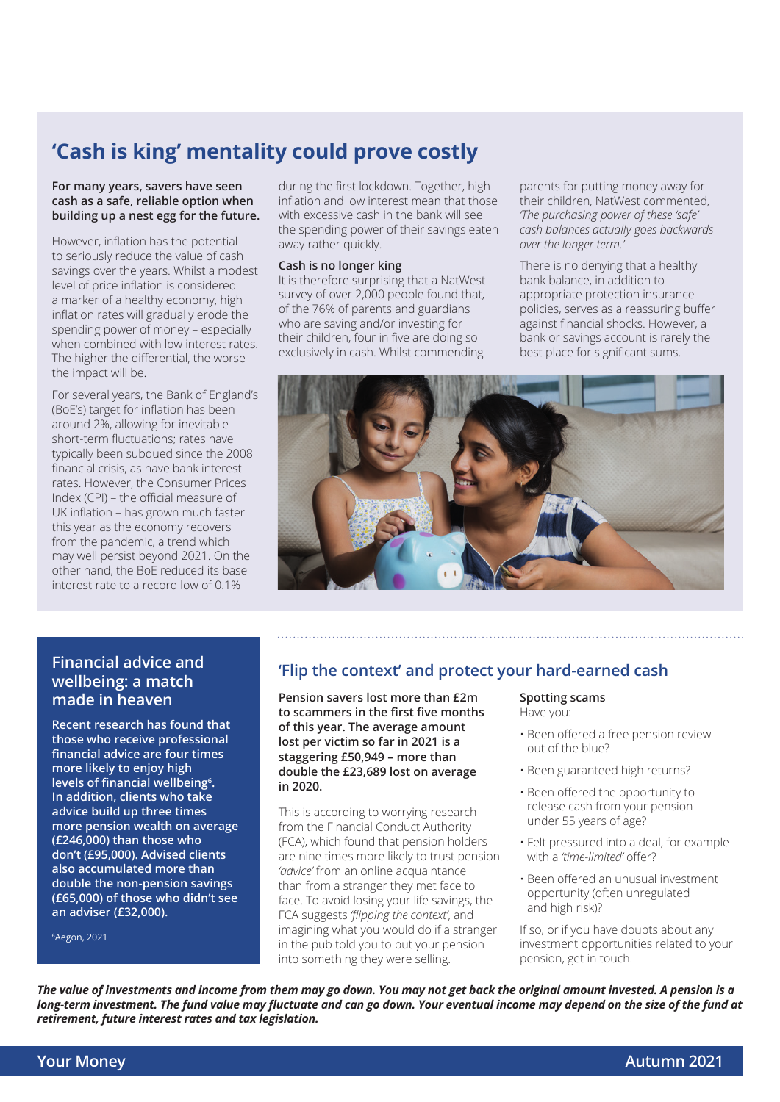# **'Cash is king' mentality could prove costly**

#### **For many years, savers have seen cash as a safe, reliable option when building up a nest egg for the future.**

However, inflation has the potential to seriously reduce the value of cash savings over the years. Whilst a modest level of price inflation is considered a marker of a healthy economy, high inflation rates will gradually erode the spending power of money – especially when combined with low interest rates. The higher the differential, the worse the impact will be.

For several years, the Bank of England's (BoE's) target for inflation has been around 2%, allowing for inevitable short-term fluctuations; rates have typically been subdued since the 2008 financial crisis, as have bank interest rates. However, the Consumer Prices Index (CPI) – the official measure of UK inflation – has grown much faster this year as the economy recovers from the pandemic, a trend which may well persist beyond 2021. On the other hand, the BoE reduced its base interest rate to a record low of 0.1%

during the first lockdown. Together, high inflation and low interest mean that those with excessive cash in the bank will see the spending power of their savings eaten away rather quickly.

#### **Cash is no longer king**

It is therefore surprising that a NatWest survey of over 2,000 people found that, of the 76% of parents and guardians who are saving and/or investing for their children, four in five are doing so exclusively in cash. Whilst commending

parents for putting money away for their children, NatWest commented, *'The purchasing power of these 'safe' cash balances actually goes backwards over the longer term.'*

There is no denying that a healthy bank balance, in addition to appropriate protection insurance policies, serves as a reassuring buffer against financial shocks. However, a bank or savings account is rarely the best place for significant sums.



#### **Financial advice and wellbeing: a match made in heaven**

**Recent research has found that those who receive professional financial advice are four times more likely to enjoy high levels of financial wellbeing<sup>6</sup> . In addition, clients who take advice build up three times more pension wealth on average (£246,000) than those who don't (£95,000). Advised clients also accumulated more than double the non-pension savings (£65,000) of those who didn't see an adviser (£32,000).** 

6Aegon, 2021

## **'Flip the context' and protect your hard-earned cash**

**Pension savers lost more than £2m to scammers in the first five months of this year. The average amount lost per victim so far in 2021 is a staggering £50,949 – more than double the £23,689 lost on average in 2020.** 

This is according to worrying research from the Financial Conduct Authority (FCA), which found that pension holders are nine times more likely to trust pension *'advice'* from an online acquaintance than from a stranger they met face to face. To avoid losing your life savings, the FCA suggests *'flipping the context'*, and imagining what you would do if a stranger in the pub told you to put your pension into something they were selling.

#### **Spotting scams** Have you:

- Been offered a free pension review out of the blue?
- Been guaranteed high returns?
- Been offered the opportunity to release cash from your pension under 55 years of age?
- Felt pressured into a deal, for example with a *'time-limited'* offer?
- Been offered an unusual investment opportunity (often unregulated and high risk)?

If so, or if you have doubts about any investment opportunities related to your pension, get in touch.

*The value of investments and income from them may go down. You may not get back the original amount invested. A pension is a long-term investment. The fund value may fluctuate and can go down. Your eventual income may depend on the size of the fund at retirement, future interest rates and tax legislation.*